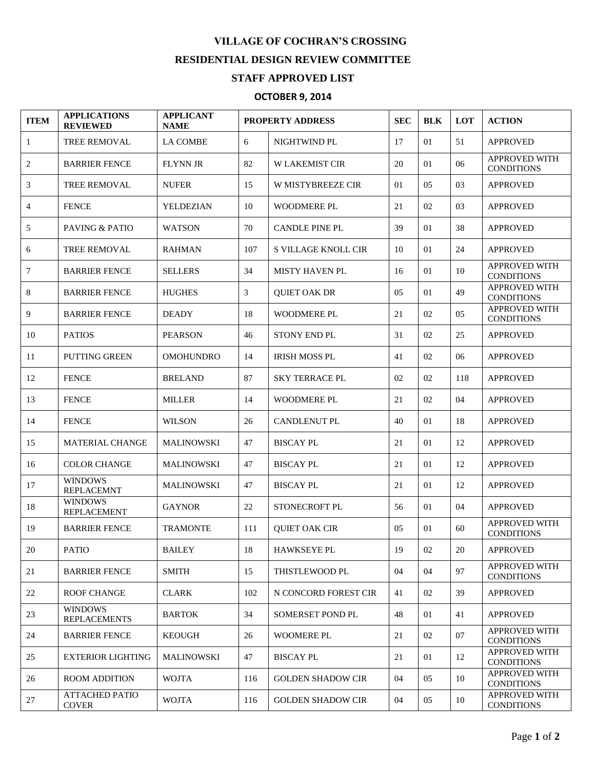## **VILLAGE OF COCHRAN'S CROSSING RESIDENTIAL DESIGN REVIEW COMMITTEE**

## **STAFF APPROVED LIST**

## **OCTOBER 9, 2014**

| <b>ITEM</b>  | <b>APPLICATIONS</b><br><b>REVIEWED</b> | <b>APPLICANT</b><br><b>NAME</b> | <b>PROPERTY ADDRESS</b> |                          | <b>SEC</b> | <b>BLK</b> | LOT | <b>ACTION</b>                             |
|--------------|----------------------------------------|---------------------------------|-------------------------|--------------------------|------------|------------|-----|-------------------------------------------|
| $\mathbf{1}$ | <b>TREE REMOVAL</b>                    | <b>LA COMBE</b>                 | 6                       | NIGHTWIND PL             | 17         | 01         | 51  | <b>APPROVED</b>                           |
| 2            | <b>BARRIER FENCE</b>                   | FLYNN JR                        | 82                      | <b>W LAKEMIST CIR</b>    | 20         | 01         | 06  | <b>APPROVED WITH</b><br><b>CONDITIONS</b> |
| 3            | <b>TREE REMOVAL</b>                    | <b>NUFER</b>                    | 15                      | W MISTYBREEZE CIR        | 01         | 05         | 03  | <b>APPROVED</b>                           |
| 4            | <b>FENCE</b>                           | YELDEZIAN                       | 10                      | WOODMERE PL              | 21         | 02         | 03  | <b>APPROVED</b>                           |
| 5            | PAVING & PATIO                         | <b>WATSON</b>                   | 70                      | <b>CANDLE PINE PL</b>    | 39         | 01         | 38  | <b>APPROVED</b>                           |
| 6            | <b>TREE REMOVAL</b>                    | <b>RAHMAN</b>                   | 107                     | S VILLAGE KNOLL CIR      | 10         | 01         | 24  | <b>APPROVED</b>                           |
| 7            | <b>BARRIER FENCE</b>                   | <b>SELLERS</b>                  | 34                      | <b>MISTY HAVEN PL</b>    | 16         | 01         | 10  | APPROVED WITH<br><b>CONDITIONS</b>        |
| 8            | <b>BARRIER FENCE</b>                   | <b>HUGHES</b>                   | 3                       | <b>QUIET OAK DR</b>      | 05         | 01         | 49  | <b>APPROVED WITH</b><br><b>CONDITIONS</b> |
| 9            | <b>BARRIER FENCE</b>                   | <b>DEADY</b>                    | 18                      | <b>WOODMERE PL</b>       | 21         | 02         | 05  | <b>APPROVED WITH</b><br><b>CONDITIONS</b> |
| 10           | <b>PATIOS</b>                          | <b>PEARSON</b>                  | 46                      | STONY END PL             | 31         | 02         | 25  | <b>APPROVED</b>                           |
| 11           | <b>PUTTING GREEN</b>                   | <b>OMOHUNDRO</b>                | 14                      | <b>IRISH MOSS PL</b>     | 41         | 02         | 06  | <b>APPROVED</b>                           |
| 12           | <b>FENCE</b>                           | <b>BRELAND</b>                  | 87                      | <b>SKY TERRACE PL</b>    | 02         | 02         | 118 | <b>APPROVED</b>                           |
| 13           | <b>FENCE</b>                           | <b>MILLER</b>                   | 14                      | WOODMERE PL              | 21         | 02         | 04  | <b>APPROVED</b>                           |
| 14           | <b>FENCE</b>                           | <b>WILSON</b>                   | 26                      | <b>CANDLENUT PL</b>      | 40         | 01         | 18  | <b>APPROVED</b>                           |
| 15           | <b>MATERIAL CHANGE</b>                 | <b>MALINOWSKI</b>               | 47                      | <b>BISCAY PL</b>         | 21         | 01         | 12  | <b>APPROVED</b>                           |
| 16           | <b>COLOR CHANGE</b>                    | <b>MALINOWSKI</b>               | 47                      | <b>BISCAY PL</b>         | 21         | 01         | 12  | <b>APPROVED</b>                           |
| 17           | <b>WINDOWS</b><br><b>REPLACEMNT</b>    | <b>MALINOWSKI</b>               | 47                      | <b>BISCAY PL</b>         | 21         | 01         | 12  | <b>APPROVED</b>                           |
| 18           | <b>WINDOWS</b><br><b>REPLACEMENT</b>   | <b>GAYNOR</b>                   | 22                      | STONECROFT PL            | 56         | 01         | 04  | <b>APPROVED</b>                           |
| 19           | <b>BARRIER FENCE</b>                   | <b>TRAMONTE</b>                 | 111                     | <b>QUIET OAK CIR</b>     | 05         | 01         | 60  | <b>APPROVED WITH</b><br><b>CONDITIONS</b> |
| 20           | <b>PATIO</b>                           | <b>BAILEY</b>                   | 18                      | <b>HAWKSEYE PL</b>       | 19         | 02         | 20  | <b>APPROVED</b>                           |
| 21           | <b>BARRIER FENCE</b>                   | <b>SMITH</b>                    | 15                      | THISTLEWOOD PL           | 04         | 04         | 97  | <b>APPROVED WITH</b><br><b>CONDITIONS</b> |
| 22           | <b>ROOF CHANGE</b>                     | <b>CLARK</b>                    | 102                     | N CONCORD FOREST CIR     | 41         | 02         | 39  | <b>APPROVED</b>                           |
| 23           | <b>WINDOWS</b><br><b>REPLACEMENTS</b>  | <b>BARTOK</b>                   | 34                      | SOMERSET POND PL         | 48         | 01         | 41  | <b>APPROVED</b>                           |
| 24           | <b>BARRIER FENCE</b>                   | <b>KEOUGH</b>                   | 26                      | <b>WOOMERE PL</b>        | 21         | 02         | 07  | <b>APPROVED WITH</b><br><b>CONDITIONS</b> |
| 25           | <b>EXTERIOR LIGHTING</b>               | <b>MALINOWSKI</b>               | 47                      | <b>BISCAY PL</b>         | 21         | 01         | 12  | <b>APPROVED WITH</b><br><b>CONDITIONS</b> |
| 26           | <b>ROOM ADDITION</b>                   | <b>WOJTA</b>                    | 116                     | <b>GOLDEN SHADOW CIR</b> | 04         | 05         | 10  | <b>APPROVED WITH</b><br><b>CONDITIONS</b> |
| 27           | <b>ATTACHED PATIO</b><br><b>COVER</b>  | <b>WOJTA</b>                    | 116                     | <b>GOLDEN SHADOW CIR</b> | 04         | 05         | 10  | <b>APPROVED WITH</b><br><b>CONDITIONS</b> |